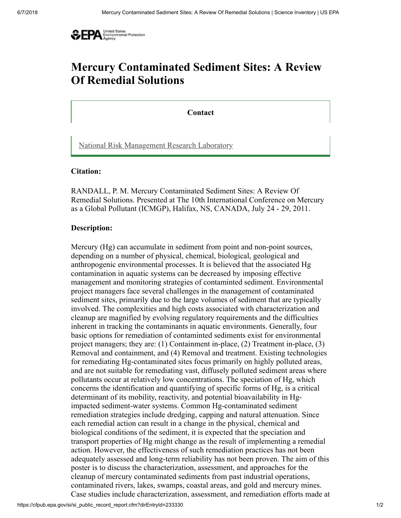

# Mercury Contaminated Sediment Sites: A Review Of Remedial Solutions

**Contact** 

[National Risk Management Research Laboratory](http://www2.epa.gov/aboutepa/about-national-risk-management-research-laboratory-nrmrl)

#### Citation:

RANDALL, P. M. Mercury Contaminated Sediment Sites: A Review Of Remedial Solutions. Presented at The 10th International Conference on Mercury as a Global Pollutant (ICMGP), Halifax, NS, CANADA, July 24 - 29, 2011.

#### Description:

Mercury (Hg) can accumulate in sediment from point and non-point sources, depending on a number of physical, chemical, biological, geological and anthropogenic environmental processes. It is believed that the associated Hg contamination in aquatic systems can be decreased by imposing effective management and monitoring strategies of contaminted sediment. Environmental project managers face several challenges in the management of contaminated sediment sites, primarily due to the large volumes of sediment that are typically involved. The complexities and high costs associated with characterization and cleanup are magnified by evolving regulatory requirements and the difficulties inherent in tracking the contaminants in aquatic environments. Generally, four basic options for remediation of contaminted sediments exist for environmental project managers; they are: (1) Containment in-place, (2) Treatment in-place, (3) Removal and containment, and (4) Removal and treatment. Existing technologies for remediating Hg-contaminated sites focus primarily on highly polluted areas, and are not suitable for remediating vast, diffusely polluted sediment areas where pollutants occur at relatively low concentrations. The speciation of Hg, which concerns the identification and quantifying of specific forms of Hg, is a critical determinant of its mobility, reactivity, and potential bioavailability in Hgimpacted sediment-water systems. Common Hg-contaminated sediment remediation strategies include dredging, capping and natural attenuation. Since each remedial action can result in a change in the physical, chemical and biological conditions of the sediment, it is expected that the speciation and transport properties of Hg might change as the result of implementing a remedial action. However, the effectiveness of such remediation practices has not been adequately assessed and long-term reliability has not been proven. The aim of this poster is to discuss the characterization, assessment, and approaches for the cleanup of mercury contaminated sediments from past industrial operations, contaminated rivers, lakes, swamps, coastal areas, and gold and mercury mines. Case studies include characterization, assessment, and remediation efforts made at